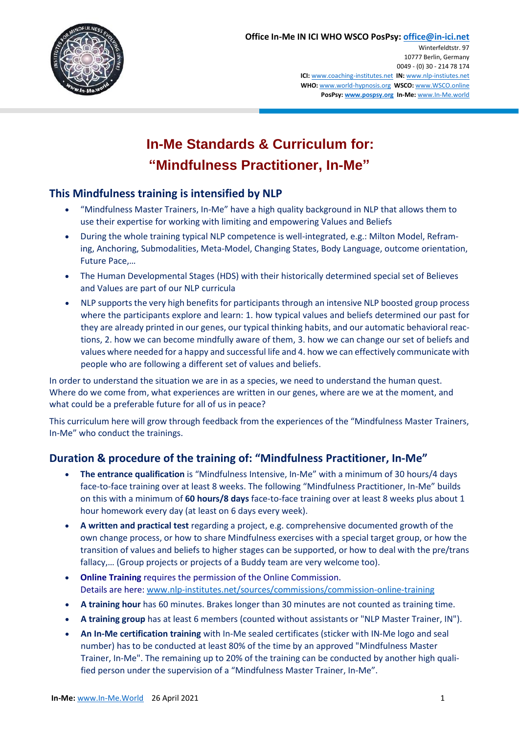

# **In-Me Standards & Curriculum for: "Mindfulness Practitioner, In-Me"**

### **This Mindfulness training is intensified by NLP**

- "Mindfulness Master Trainers, In-Me" have a high quality background in NLP that allows them to use their expertise for working with limiting and empowering Values and Beliefs
- During the whole training typical NLP competence is well-integrated, e.g.: Milton Model, Reframing, Anchoring, Submodalities, Meta-Model, Changing States, Body Language, outcome orientation, Future Pace,…
- The Human Developmental Stages (HDS) with their historically determined special set of Believes and Values are part of our NLP curricula
- NLP supports the very high benefits for participants through an intensive NLP boosted group process where the participants explore and learn: 1. how typical values and beliefs determined our past for they are already printed in our genes, our typical thinking habits, and our automatic behavioral reactions, 2. how we can become mindfully aware of them, 3. how we can change our set of beliefs and values where needed for a happy and successful life and 4. how we can effectively communicate with people who are following a different set of values and beliefs.

In order to understand the situation we are in as a species, we need to understand the human quest. Where do we come from, what experiences are written in our genes, where are we at the moment, and what could be a preferable future for all of us in peace?

This curriculum here will grow through feedback from the experiences of the "Mindfulness Master Trainers, In-Me" who conduct the trainings.

### **Duration & procedure of the training of: "Mindfulness Practitioner, In-Me"**

- **The entrance qualification** is "Mindfulness Intensive, In-Me" with a minimum of 30 hours/4 days face-to-face training over at least 8 weeks. The following "Mindfulness Practitioner, In-Me" builds on this with a minimum of **60 hours/8 days** face-to-face training over at least 8 weeks plus about 1 hour homework every day (at least on 6 days every week).
- **A written and practical test** regarding a project, e.g. comprehensive documented growth of the own change process, or how to share Mindfulness exercises with a special target group, or how the transition of values and beliefs to higher stages can be supported, or how to deal with the pre/trans fallacy,… (Group projects or projects of a Buddy team are very welcome too).
- **Online Training** requires the permission of the Online Commission. Details are here: [www.nlp-institutes.net/sources/commissions/commission-online-training](http://www.nlp-institutes.net/sources/commissions/commission-online-training)
- **A training hour** has 60 minutes. Brakes longer than 30 minutes are not counted as training time.
- **A training group** has at least 6 members (counted without assistants or "NLP Master Trainer, IN").
- **An In-Me certification training** with In-Me sealed certificates (sticker with IN-Me logo and seal number) has to be conducted at least 80% of the time by an approved "Mindfulness Master Trainer, In-Me". The remaining up to 20% of the training can be conducted by another high qualified person under the supervision of a "Mindfulness Master Trainer, In-Me".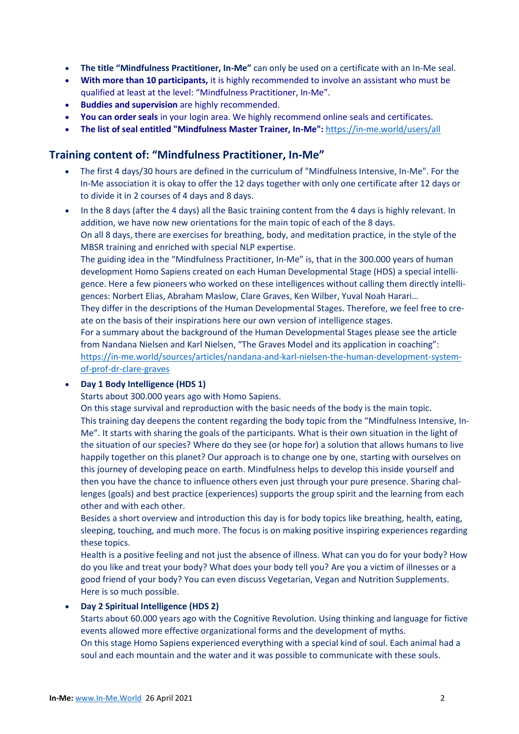- **The title "Mindfulness Practitioner, In-Me"** can only be used on a certificate with an In-Me seal.
- **With more than 10 participants,** it is highly recommended to involve an assistant who must be qualified at least at the level: "Mindfulness Practitioner, In-Me".
- **Buddies and supervision** are highly recommended.
- **You can order seals** in your login area. We highly recommend online seals and certificates.
- **The list of seal entitled "Mindfulness Master Trainer, In-Me":** <https://in-me.world/users/all>

### **Training content of: "Mindfulness Practitioner, In-Me"**

- The first 4 days/30 hours are defined in the curriculum of "Mindfulness Intensive, In-Me". For the In-Me association it is okay to offer the 12 days together with only one certificate after 12 days or to divide it in 2 courses of 4 days and 8 days.
- In the 8 days (after the 4 days) all the Basic training content from the 4 days is highly relevant. In addition, we have now new orientations for the main topic of each of the 8 days. On all 8 days, there are exercises for breathing, body, and meditation practice, in the style of the MBSR training and enriched with special NLP expertise.

The guiding idea in the "Mindfulness Practitioner, In-Me" is, that in the 300.000 years of human development Homo Sapiens created on each Human Developmental Stage (HDS) a special intelligence. Here a few pioneers who worked on these intelligences without calling them directly intelligences: Norbert Elias, Abraham Maslow, Clare Graves, Ken Wilber, Yuval Noah Harari…

They differ in the descriptions of the Human Developmental Stages. Therefore, we feel free to create on the basis of their inspirations here our own version of intelligence stages.

For a summary about the background of the Human Developmental Stages please see the article from Nandana Nielsen and Karl Nielsen, "The Graves Model and its application in coaching": [https://in-me.world/sources/articles/nandana-and-karl-nielsen-the-human-development-system](https://in-me.world/sources/articles/nandana-and-karl-nielsen-the-human-development-system-of-prof-dr-clare-graves)[of-prof-dr-clare-graves](https://in-me.world/sources/articles/nandana-and-karl-nielsen-the-human-development-system-of-prof-dr-clare-graves)

### **Day 1 Body Intelligence (HDS 1)**

Starts about 300.000 years ago with Homo Sapiens.

On this stage survival and reproduction with the basic needs of the body is the main topic. This training day deepens the content regarding the body topic from the "Mindfulness Intensive, In-Me". It starts with sharing the goals of the participants. What is their own situation in the light of the situation of our species? Where do they see (or hope for) a solution that allows humans to live happily together on this planet? Our approach is to change one by one, starting with ourselves on this journey of developing peace on earth. Mindfulness helps to develop this inside yourself and then you have the chance to influence others even just through your pure presence. Sharing challenges (goals) and best practice (experiences) supports the group spirit and the learning from each other and with each other.

Besides a short overview and introduction this day is for body topics like breathing, health, eating, sleeping, touching, and much more. The focus is on making positive inspiring experiences regarding these topics.

Health is a positive feeling and not just the absence of illness. What can you do for your body? How do you like and treat your body? What does your body tell you? Are you a victim of illnesses or a good friend of your body? You can even discuss Vegetarian, Vegan and Nutrition Supplements. Here is so much possible.

### **Day 2 Spiritual Intelligence (HDS 2)**

Starts about 60.000 years ago with the Cognitive Revolution. Using thinking and language for fictive events allowed more effective organizational forms and the development of myths. On this stage Homo Sapiens experienced everything with a special kind of soul. Each animal had a soul and each mountain and the water and it was possible to communicate with these souls.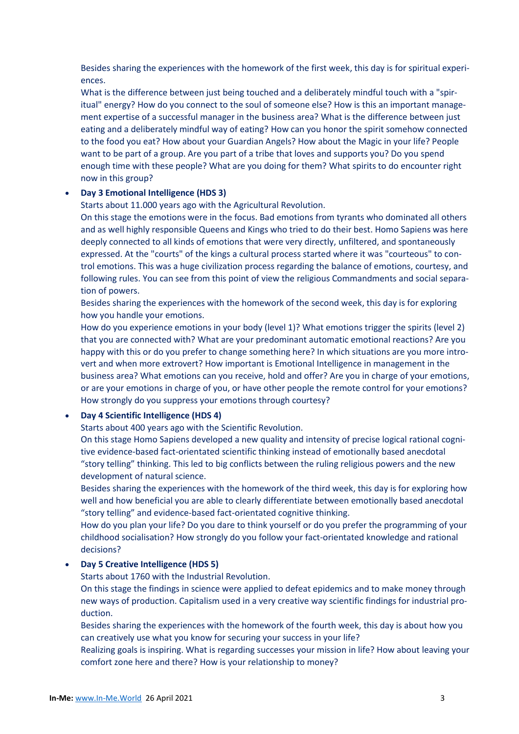Besides sharing the experiences with the homework of the first week, this day is for spiritual experiences.

What is the difference between just being touched and a deliberately mindful touch with a "spiritual" energy? How do you connect to the soul of someone else? How is this an important management expertise of a successful manager in the business area? What is the difference between just eating and a deliberately mindful way of eating? How can you honor the spirit somehow connected to the food you eat? How about your Guardian Angels? How about the Magic in your life? People want to be part of a group. Are you part of a tribe that loves and supports you? Do you spend enough time with these people? What are you doing for them? What spirits to do encounter right now in this group?

### **Day 3 Emotional Intelligence (HDS 3)**

Starts about 11.000 years ago with the Agricultural Revolution.

On this stage the emotions were in the focus. Bad emotions from tyrants who dominated all others and as well highly responsible Queens and Kings who tried to do their best. Homo Sapiens was here deeply connected to all kinds of emotions that were very directly, unfiltered, and spontaneously expressed. At the "courts" of the kings a cultural process started where it was "courteous" to control emotions. This was a huge civilization process regarding the balance of emotions, courtesy, and following rules. You can see from this point of view the religious Commandments and social separation of powers.

Besides sharing the experiences with the homework of the second week, this day is for exploring how you handle your emotions.

How do you experience emotions in your body (level 1)? What emotions trigger the spirits (level 2) that you are connected with? What are your predominant automatic emotional reactions? Are you happy with this or do you prefer to change something here? In which situations are you more introvert and when more extrovert? How important is Emotional Intelligence in management in the business area? What emotions can you receive, hold and offer? Are you in charge of your emotions, or are your emotions in charge of you, or have other people the remote control for your emotions? How strongly do you suppress your emotions through courtesy?

### **Day 4 Scientific Intelligence (HDS 4)**

Starts about 400 years ago with the Scientific Revolution.

On this stage Homo Sapiens developed a new quality and intensity of precise logical rational cognitive evidence-based fact-orientated scientific thinking instead of emotionally based anecdotal "story telling" thinking. This led to big conflicts between the ruling religious powers and the new development of natural science.

Besides sharing the experiences with the homework of the third week, this day is for exploring how well and how beneficial you are able to clearly differentiate between emotionally based anecdotal "story telling" and evidence-based fact-orientated cognitive thinking.

How do you plan your life? Do you dare to think yourself or do you prefer the programming of your childhood socialisation? How strongly do you follow your fact-orientated knowledge and rational decisions?

### **Day 5 Creative Intelligence (HDS 5)**

Starts about 1760 with the Industrial Revolution.

On this stage the findings in science were applied to defeat epidemics and to make money through new ways of production. Capitalism used in a very creative way scientific findings for industrial production.

Besides sharing the experiences with the homework of the fourth week, this day is about how you can creatively use what you know for securing your success in your life?

Realizing goals is inspiring. What is regarding successes your mission in life? How about leaving your comfort zone here and there? How is your relationship to money?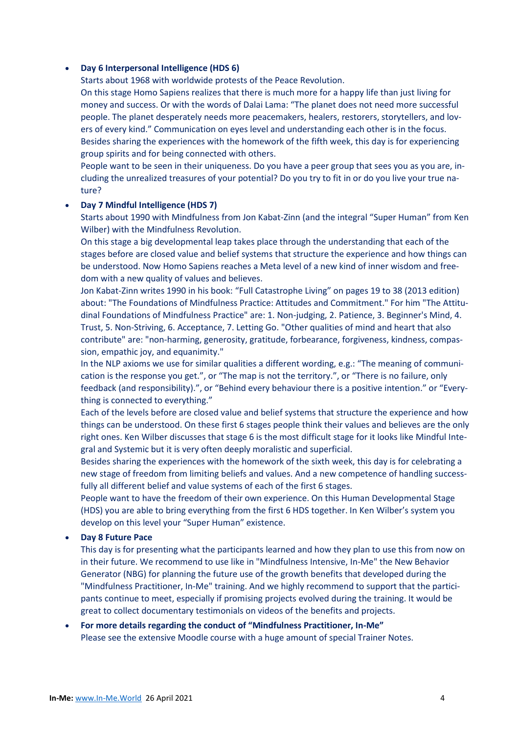### **Day 6 Interpersonal Intelligence (HDS 6)**

Starts about 1968 with worldwide protests of the Peace Revolution.

On this stage Homo Sapiens realizes that there is much more for a happy life than just living for money and success. Or with the words of Dalai Lama: "The planet does not need more successful people. The planet desperately needs more peacemakers, healers, restorers, storytellers, and lovers of every kind." Communication on eyes level and understanding each other is in the focus. Besides sharing the experiences with the homework of the fifth week, this day is for experiencing group spirits and for being connected with others.

People want to be seen in their uniqueness. Do you have a peer group that sees you as you are, including the unrealized treasures of your potential? Do you try to fit in or do you live your true nature?

### **Day 7 Mindful Intelligence (HDS 7)**

Starts about 1990 with Mindfulness from Jon Kabat-Zinn (and the integral "Super Human" from Ken Wilber) with the Mindfulness Revolution.

On this stage a big developmental leap takes place through the understanding that each of the stages before are closed value and belief systems that structure the experience and how things can be understood. Now Homo Sapiens reaches a Meta level of a new kind of inner wisdom and freedom with a new quality of values and believes.

Jon Kabat-Zinn writes 1990 in his book: "Full Catastrophe Living" on pages 19 to 38 (2013 edition) about: "The Foundations of Mindfulness Practice: Attitudes and Commitment." For him "The Attitudinal Foundations of Mindfulness Practice" are: 1. Non-judging, 2. Patience, 3. Beginner's Mind, 4. Trust, 5. Non-Striving, 6. Acceptance, 7. Letting Go. "Other qualities of mind and heart that also contribute" are: "non-harming, generosity, gratitude, forbearance, forgiveness, kindness, compassion, empathic joy, and equanimity."

In the NLP axioms we use for similar qualities a different wording, e.g.: "The meaning of communication is the response you get.", or "The map is not the territory.", or "There is no failure, only feedback (and responsibility).", or "Behind every behaviour there is a positive intention." or "Everything is connected to everything."

Each of the levels before are closed value and belief systems that structure the experience and how things can be understood. On these first 6 stages people think their values and believes are the only right ones. Ken Wilber discusses that stage 6 is the most difficult stage for it looks like Mindful Integral and Systemic but it is very often deeply moralistic and superficial.

Besides sharing the experiences with the homework of the sixth week, this day is for celebrating a new stage of freedom from limiting beliefs and values. And a new competence of handling successfully all different belief and value systems of each of the first 6 stages.

People want to have the freedom of their own experience. On this Human Developmental Stage (HDS) you are able to bring everything from the first 6 HDS together. In Ken Wilber's system you develop on this level your "Super Human" existence.

### **Day 8 Future Pace**

This day is for presenting what the participants learned and how they plan to use this from now on in their future. We recommend to use like in "Mindfulness Intensive, In-Me" the New Behavior Generator (NBG) for planning the future use of the growth benefits that developed during the "Mindfulness Practitioner, In-Me" training. And we highly recommend to support that the participants continue to meet, especially if promising projects evolved during the training. It would be great to collect documentary testimonials on videos of the benefits and projects.

### **For more details regarding the conduct of "Mindfulness Practitioner, In-Me"** Please see the extensive Moodle course with a huge amount of special Trainer Notes.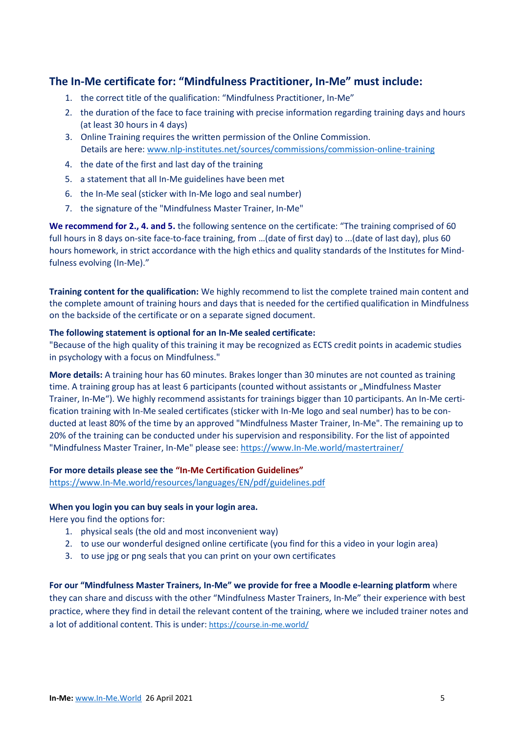### **The In-Me certificate for: "Mindfulness Practitioner, In-Me" must include:**

- 1. the correct title of the qualification: "Mindfulness Practitioner, In-Me"
- 2. the duration of the face to face training with precise information regarding training days and hours (at least 30 hours in 4 days)
- 3. Online Training requires the written permission of the Online Commission. Details are here: [www.nlp-institutes.net/sources/commissions/commission-online-training](http://www.nlp-institutes.net/sources/commissions/commission-online-training)
- 4. the date of the first and last day of the training
- 5. a statement that all In-Me guidelines have been met
- 6. the In-Me seal (sticker with In-Me logo and seal number)
- 7. the signature of the "Mindfulness Master Trainer, In-Me"

**We recommend for 2., 4. and 5.** the following sentence on the certificate: "The training comprised of 60 full hours in 8 days on-site face-to-face training, from …(date of first day) to ...(date of last day), plus 60 hours homework, in strict accordance with the high ethics and quality standards of the Institutes for Mindfulness evolving (In-Me)."

**Training content for the qualification:** We highly recommend to list the complete trained main content and the complete amount of training hours and days that is needed for the certified qualification in Mindfulness on the backside of the certificate or on a separate signed document.

#### **The following statement is optional for an In-Me sealed certificate:**

"Because of the high quality of this training it may be recognized as ECTS credit points in academic studies in psychology with a focus on Mindfulness."

**More details:** A training hour has 60 minutes. Brakes longer than 30 minutes are not counted as training time. A training group has at least 6 participants (counted without assistants or "Mindfulness Master Trainer, In-Me"). We highly recommend assistants for trainings bigger than 10 participants. An In-Me certification training with In-Me sealed certificates (sticker with In-Me logo and seal number) has to be conducted at least 80% of the time by an approved "Mindfulness Master Trainer, In-Me". The remaining up to 20% of the training can be conducted under his supervision and responsibility. For the list of appointed "Mindfulness Master Trainer, In-Me" please see: [https://www.In-Me.world/mastertrainer/](https://www.in-me.world/mastertrainer/)

### **For more details please see the "In-Me Certification Guidelines"**

[https://www.In-Me.world/resources/languages/EN/pdf/guidelines.pdf](https://www.in-me.world/resources/languages/EN/pdf/guidelines.pdf)

#### **When you login you can buy seals in your login area.**

Here you find the options for:

- 1. physical seals (the old and most inconvenient way)
- 2. to use our wonderful designed online certificate (you find for this a video in your login area)
- 3. to use jpg or png seals that you can print on your own certificates

**For our "Mindfulness Master Trainers, In-Me" we provide for free a Moodle e-learning platform** where they can share and discuss with the other "Mindfulness Master Trainers, In-Me" their experience with best practice, where they find in detail the relevant content of the training, where we included trainer notes and a lot of additional content. This is under: <https://course.in-me.world/>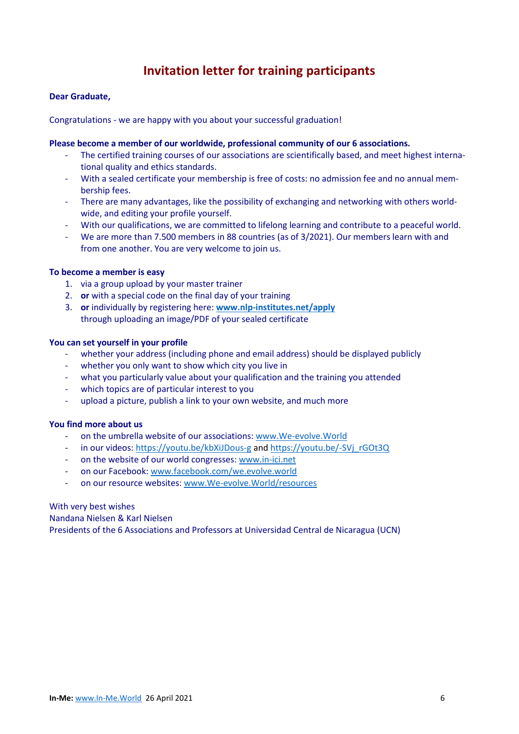## **Invitation letter for training participants**

### **Dear Graduate,**

Congratulations - we are happy with you about your successful graduation!

### **Please become a member of our worldwide, professional community of our 6 associations.**

- The certified training courses of our associations are scientifically based, and meet highest international quality and ethics standards.
- With a sealed certificate your membership is free of costs: no admission fee and no annual membership fees.
- There are many advantages, like the possibility of exchanging and networking with others worldwide, and editing your profile yourself.
- With our qualifications, we are committed to lifelong learning and contribute to a peaceful world.
- We are more than 7.500 members in 88 countries (as of 3/2021). Our members learn with and from one another. You are very welcome to join us.

### **To become a member is easy**

- 1. via a group upload by your master trainer
- 2. **or** with a special code on the final day of your training
- 3. **or** individually by registering here: **[www.nlp-institutes.net/apply](http://www.nlp-institutes.net/apply)** through uploading an image/PDF of your sealed certificate

### **You can set yourself in your profile**

- whether your address (including phone and email address) should be displayed publicly
- whether you only want to show which city you live in
- what you particularly value about your qualification and the training you attended
- which topics are of particular interest to you
- upload a picture, publish a link to your own website, and much more

### **You find more about us**

- on the umbrella website of our associations: [www.We-evolve.World](http://www.we-evolve.world/)
- in our videos: <https://youtu.be/kbXiJDous-g> and [https://youtu.be/-SVj\\_rGOt3Q](https://youtu.be/-SVj_rGOt3Q)
- on the website of our world congresses: [www.in-ici.net](http://www.in-ici.net/)
- on our Facebook: [www.facebook.com/we.evolve.world](http://www.facebook.com/we.evolve.world)
- on our resource websites: [www.We-evolve.World/resources](http://www.we-evolve.world/resources)

#### With very best wishes

#### Nandana Nielsen & Karl Nielsen

Presidents of the 6 Associations and Professors at Universidad Central de Nicaragua (UCN)